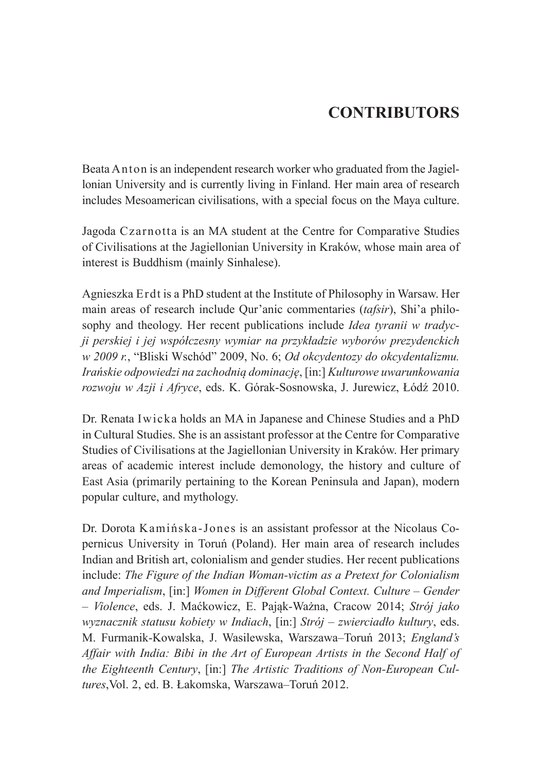## **CONTRIBUTORS**

Beata Anton is an independent research worker who graduated from the Jagiellonian University and is currently living in Finland. Her main area of research includes Mesoamerican civilisations, with a special focus on the Maya culture.

Jagoda Czarnotta is an MA student at the Centre for Comparative Studies of Civilisations at the Jagiellonian University in Kraków, whose main area of interest is Buddhism (mainly Sinhalese).

Agnieszka Erdt is a PhD student at the Institute of Philosophy in Warsaw. Her main areas of research include Qur'anic commentaries (*tafsir*), Shi'a philosophy and theology. Her recent publications include *Idea tyranii w tradycji perskiej i jej współczesny wymiar na przykładzie wyborów prezydenckich w 2009 r.*, "Bliski Wschód" 2009, No. 6; *Od okcydentozy do okcydentalizmu. Irańskie odpowiedzi na zachodnią dominację*, [in:] *Kulturowe uwarunkowania rozwoju w Azji i Afryce*, eds. K. Górak-Sosnowska, J. Jurewicz, Łódź 2010.

Dr. Renata Iwicka holds an MA in Japanese and Chinese Studies and a PhD in Cultural Studies. She is an assistant professor at the Centre for Comparative Studies of Civilisations at the Jagiellonian University in Kraków. Her primary areas of academic interest include demonology, the history and culture of East Asia (primarily pertaining to the Korean Peninsula and Japan), modern popular culture, and mythology.

Dr. Dorota Kamińska-Jones is an assistant professor at the Nicolaus Copernicus University in Toruń (Poland). Her main area of research includes Indian and British art, colonialism and gender studies. Her recent publications include: *The Figure of the Indian Woman-victim as a Pretext for Colonialism and Imperialism*, [in:] *Women in Different Global Context. Culture – Gender – Violence*, eds. J. Maćkowicz, E. Pająk-Ważna, Cracow 2014; *Strój jako wyznacznik statusu kobiety w Indiach*, [in:] *Strój – zwierciadło kultury*, eds. M. Furmanik-Kowalska, J. Wasilewska, Warszawa–Toruń 2013; *England's Affair with India: Bibi in the Art of European Artists in the Second Half of the Eighteenth Century*, [in:] *The Artistic Traditions of Non-European Cultures*,Vol. 2, ed. B. Łakomska, Warszawa–Toruń 2012.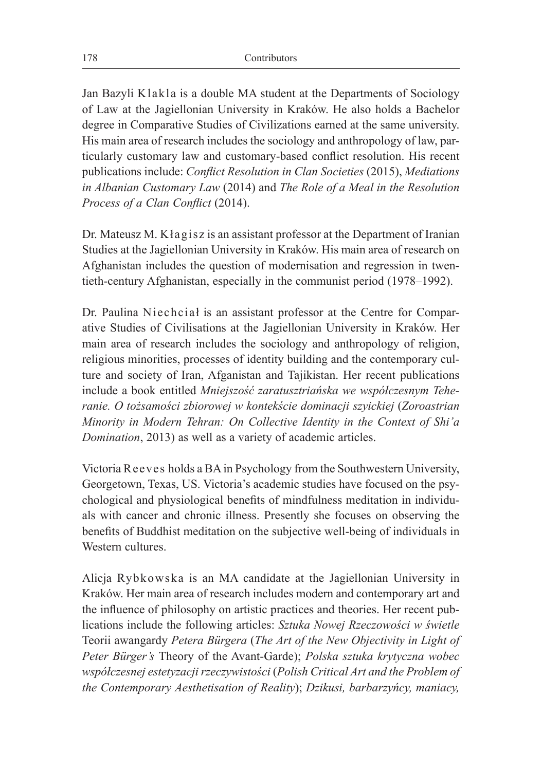Jan Bazyli Klakla is a double MA student at the Departments of Sociology of Law at the Jagiellonian University in Kraków. He also holds a Bachelor degree in Comparative Studies of Civilizations earned at the same university. His main area of research includes the sociology and anthropology of law, particularly customary law and customary-based conflict resolution. His recent publications include: *Conflict Resolution in Clan Societies* (2015), *Mediations in Albanian Customary Law* (2014) and *The Role of a Meal in the Resolution Process of a Clan Conflict* (2014).

Dr. Mateusz M. Kłagisz is an assistant professor at the Department of Iranian Studies at the Jagiellonian University in Kraków. His main area of research on Afghanistan includes the question of modernisation and regression in twentieth-century Afghanistan, especially in the communist period (1978–1992).

Dr. Paulina Niechciał is an assistant professor at the Centre for Comparative Studies of Civilisations at the Jagiellonian University in Kraków. Her main area of research includes the sociology and anthropology of religion, religious minorities, processes of identity building and the contemporary culture and society of Iran, Afganistan and Tajikistan. Her recent publications include a book entitled *Mniejszość zaratusztriańska we współczesnym Teheranie. O tożsamości zbiorowej w kontekście dominacji szyickiej* (*Zoroastrian Minority in Modern Tehran: On Collective Identity in the Context of Shi'a Domination*, 2013) as well as a variety of academic articles.

Victoria Reeves holds a BA in Psychology from the Southwestern University, Georgetown, Texas, US. Victoria's academic studies have focused on the psychological and physiological benefits of mindfulness meditation in individuals with cancer and chronic illness. Presently she focuses on observing the benefits of Buddhist meditation on the subjective well-being of individuals in Western cultures.

Alicja Rybkowska is an MA candidate at the Jagiellonian University in Kraków. Her main area of research includes modern and contemporary art and the influence of philosophy on artistic practices and theories. Her recent publications include the following articles: *Sztuka Nowej Rzeczowości w świetle*  Teorii awangardy *Petera Bürgera* (*The Art of the New Objectivity in Light of Peter Bürger's* Theory of the Avant-Garde); *Polska sztuka krytyczna wobec współczesnej estetyzacji rzeczywistości* (*Polish Critical Art and the Problem of the Contemporary Aesthetisation of Reality*); *Dzikusi, barbarzyńcy, maniacy,*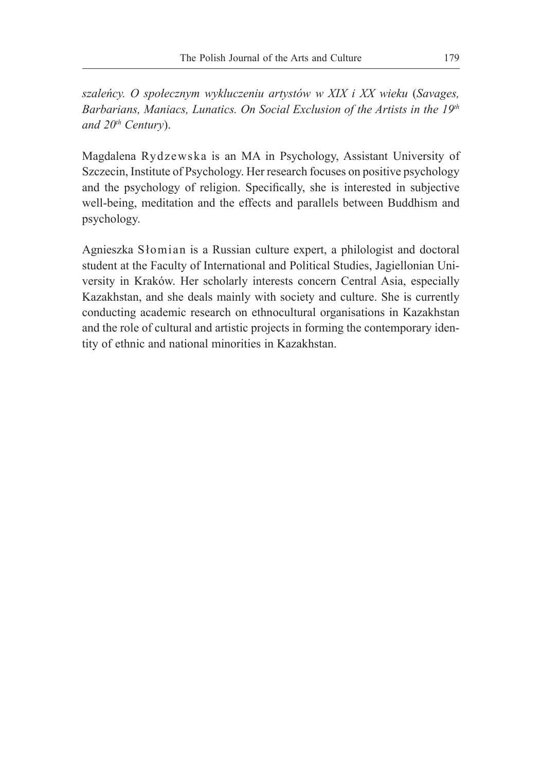*szaleńcy. O społecznym wykluczeniu artystów w XIX i XX wieku* (*Savages, Barbarians, Maniacs, Lunatics. On Social Exclusion of the Artists in the 19th and 20th Century*).

Magdalena Rydzewska is an MA in Psychology, Assistant University of Szczecin, Institute of Psychology. Her research focuses on positive psychology and the psychology of religion. Specifically, she is interested in subjective well-being, meditation and the effects and parallels between Buddhism and psychology.

Agnieszka Słomian is a Russian culture expert, a philologist and doctoral student at the Faculty of International and Political Studies, Jagiellonian University in Kraków. Her scholarly interests concern Central Asia, especially Kazakhstan, and she deals mainly with society and culture. She is currently conducting academic research on ethnocultural organisations in Kazakhstan and the role of cultural and artistic projects in forming the contemporary identity of ethnic and national minorities in Kazakhstan.